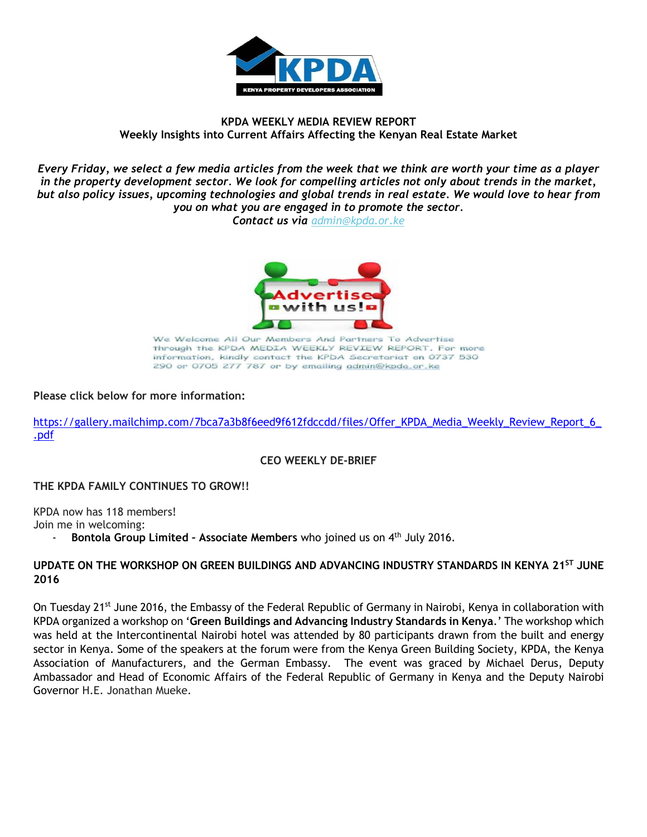

## **KPDA WEEKLY MEDIA REVIEW REPORT Weekly Insights into Current Affairs Affecting the Kenyan Real Estate Market**

*Every Friday, we select a few media articles from the week that we think are worth your time as a player in the property development sector. We look for compelling articles not only about trends in the market, but also policy issues, upcoming technologies and global trends in real estate. We would love to hear from you on what you are engaged in to promote the sector.*

*Contact us via [admin@kpda.or](mailto:admin@kpda.or.ke).ke*



We Welcome All Our Members And Partners To Advertise through the KPDA MEDIA WEEKLY REVIEW REPORT. For more information, kindly contact the KPDA Secretariat on 0737 530 290 or 0705 277 787 or by emailing admin@kpda.or.ke

#### **Please click below for more information:**

[https://gallery.mailchimp.com/7bca7a3b8f6eed9f612fdccdd/files/Offer\\_KPDA\\_Media\\_Weekly\\_Review\\_Report\\_6\\_](https://gallery.mailchimp.com/7bca7a3b8f6eed9f612fdccdd/files/Offer_KPDA_Media_Weekly_Review_Report_6_.pdf) [.pdf](https://gallery.mailchimp.com/7bca7a3b8f6eed9f612fdccdd/files/Offer_KPDA_Media_Weekly_Review_Report_6_.pdf)

#### **CEO WEEKLY DE-BRIEF**

**THE KPDA FAMILY CONTINUES TO GROW!!**

KPDA now has 118 members! Join me in welcoming:

- **Bontola Group Limited – Associate Members** who joined us on 4th July 2016.

## **UPDATE ON THE WORKSHOP ON GREEN BUILDINGS AND ADVANCING INDUSTRY STANDARDS IN KENYA 21ST JUNE 2016**

On Tuesday 21<sup>st</sup> June 2016, the Embassy of the Federal Republic of Germany in Nairobi, Kenya in collaboration with KPDA organized a workshop on '**Green Buildings and Advancing Industry Standards in Kenya**.' The workshop which was held at the Intercontinental Nairobi hotel was attended by 80 participants drawn from the built and energy sector in Kenya. Some of the speakers at the forum were from the Kenya Green Building Society, KPDA, the Kenya Association of Manufacturers, and the German Embassy. The event was graced by Michael Derus, Deputy Ambassador and Head of Economic Affairs of the Federal Republic of Germany in Kenya and the Deputy Nairobi Governor H.E. Jonathan Mueke.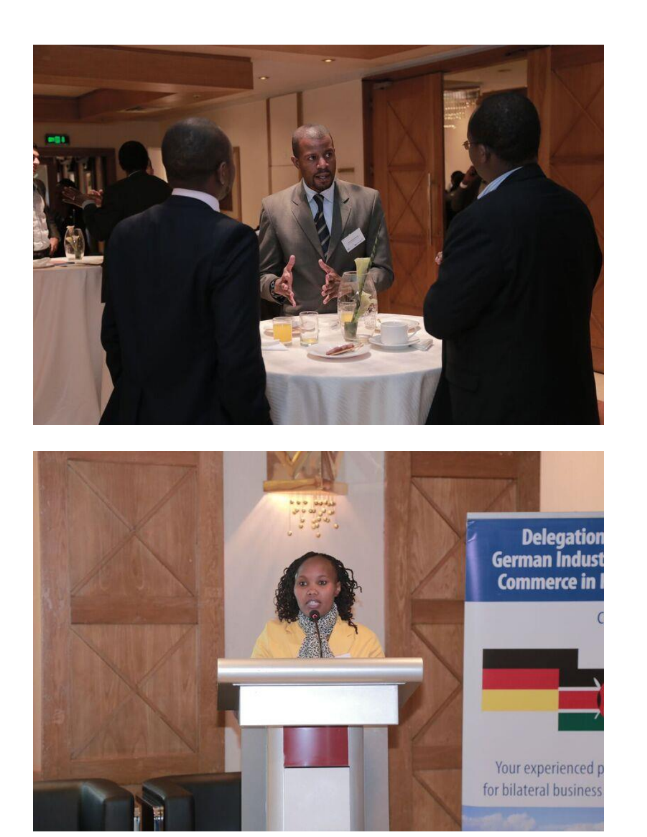

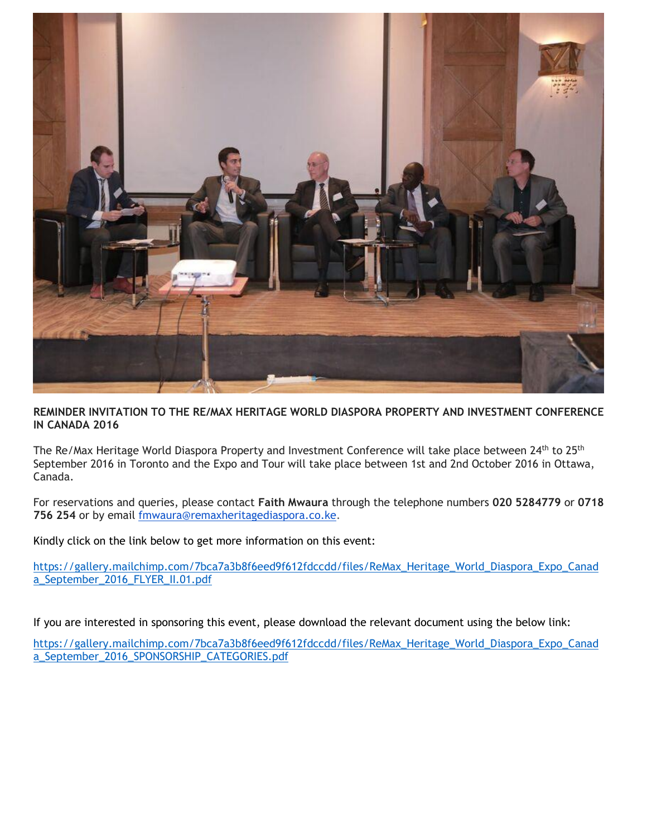

## **REMINDER INVITATION TO THE RE/MAX HERITAGE WORLD DIASPORA PROPERTY AND INVESTMENT CONFERENCE IN CANADA 2016**

The Re/Max Heritage World Diaspora Property and Investment Conference will take place between 24<sup>th</sup> to 25<sup>th</sup> September 2016 in Toronto and the Expo and Tour will take place between 1st and 2nd October 2016 in Ottawa, Canada.

For reservations and queries, please contact **Faith Mwaura** through the telephone numbers **020 5284779** or **0718 756 254** or by email [fmwaura@remaxheritagediaspora.co.ke.](mailto:fmwaura@remaxheritagediaspora.co.ke)

Kindly click on the link below to get more information on this event:

[https://gallery.mailchimp.com/7bca7a3b8f6eed9f612fdccdd/files/ReMax\\_Heritage\\_World\\_Diaspora\\_Expo\\_Canad](https://gallery.mailchimp.com/7bca7a3b8f6eed9f612fdccdd/files/ReMax_Heritage_World_Diaspora_Expo_Canada_September_2016_FLYER_II.01.pdf) [a\\_September\\_2016\\_FLYER\\_II.01.pdf](https://gallery.mailchimp.com/7bca7a3b8f6eed9f612fdccdd/files/ReMax_Heritage_World_Diaspora_Expo_Canada_September_2016_FLYER_II.01.pdf)

If you are interested in sponsoring this event, please download the relevant document using the below link:

[https://gallery.mailchimp.com/7bca7a3b8f6eed9f612fdccdd/files/ReMax\\_Heritage\\_World\\_Diaspora\\_Expo\\_Canad](https://gallery.mailchimp.com/7bca7a3b8f6eed9f612fdccdd/files/ReMax_Heritage_World_Diaspora_Expo_Canada_September_2016_SPONSORSHIP_CATEGORIES.pdf) [a\\_September\\_2016\\_SPONSORSHIP\\_CATEGORIES.pdf](https://gallery.mailchimp.com/7bca7a3b8f6eed9f612fdccdd/files/ReMax_Heritage_World_Diaspora_Expo_Canada_September_2016_SPONSORSHIP_CATEGORIES.pdf)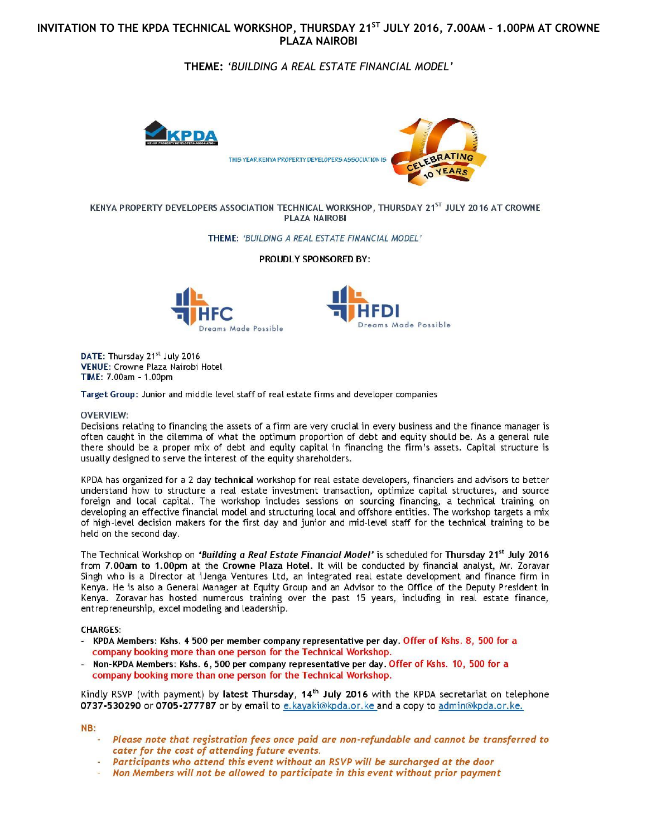## INVITATION TO THE KPDA TECHNICAL WORKSHOP, THURSDAY 21<sup>ST</sup> JULY 2016, 7.00AM - 1.00PM AT CROWNE **PLAZA NAIROBI**

THEME: 'BUILDING A REAL ESTATE FINANCIAL MODEL'



KENYA PROPERTY DEVELOPERS ASSOCIATION TECHNICAL WORKSHOP, THURSDAY 21<sup>ST</sup> JULY 2016 AT CROWNE **PLAZA NAIROBI** 

THEME: 'BUILDING A REAL ESTATE FINANCIAL MODEL'

**PROUDLY SPONSORED BY:** 





DATE: Thursday 21<sup>st</sup> July 2016 VENUE: Crowne Plaza Nairobi Hotel TIME: 7.00am - 1.00pm

Target Group: Junior and middle level staff of real estate firms and developer companies

**OVERVIEW:** 

Decisions relating to financing the assets of a firm are very crucial in every business and the finance manager is often caught in the dilemma of what the optimum proportion of debt and equity should be. As a general rule there should be a proper mix of debt and equity capital in financing the firm's assets. Capital structure is usually designed to serve the interest of the equity shareholders.

KPDA has organized for a 2 day technical workshop for real estate developers, financiers and advisors to better understand how to structure a real estate investment transaction, optimize capital structures, and source foreign and local capital. The workshop includes sessions on sourcing financing, a technical training on developing an effective financial model and structuring local and offshore entities. The workshop targets a mix of high-level decision makers for the first day and junior and mid-level staff for the technical training to be held on the second day.

The Technical Workshop on 'Building a Real Estate Financial Model' is scheduled for Thursday 21<sup>st</sup> July 2016 from 7.00am to 1.00pm at the Crowne Plaza Hotel. It will be conducted by financial analyst, Mr. Zoravar Singh who is a Director at iJenga Ventures Ltd, an integrated real estate development and finance firm in Kenya. He is also a General Manager at Equity Group and an Advisor to the Office of the Deputy President in Kenya. Zoravar has hosted numerous training over the past 15 years, including in real estate finance, entrepreneurship, excel modeling and leadership.

**CHARGES:** 

- KPDA Members: Kshs. 4 500 per member company representative per day. Offer of Kshs. 8, 500 for a company booking more than one person for the Technical Workshop.
- Non-KPDA Members: Kshs. 6, 500 per company representative per day. Offer of Kshs. 10, 500 for a company booking more than one person for the Technical Workshop.

Kindly RSVP (with payment) by latest Thursday, 14<sup>th</sup> July 2016 with the KPDA secretariat on telephone 0737-530290 or 0705-277787 or by email to e.kayaki@kpda.or.ke and a copy to admin@kpda.or.ke.

NB:

- Please note that registration fees once paid are non-refundable and cannot be transferred to cater for the cost of attending future events.
- Participants who attend this event without an RSVP will be surcharged at the door
- Non Members will not be allowed to participate in this event without prior payment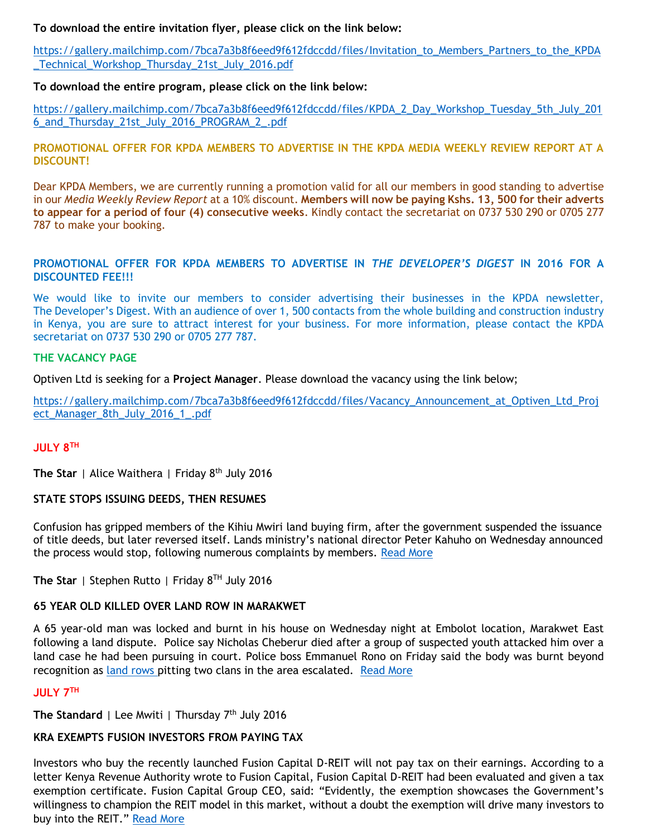**To download the entire invitation flyer, please click on the link below:**

[https://gallery.mailchimp.com/7bca7a3b8f6eed9f612fdccdd/files/Invitation\\_to\\_Members\\_Partners\\_to\\_the\\_KPDA](https://gallery.mailchimp.com/7bca7a3b8f6eed9f612fdccdd/files/Invitation_to_Members_Partners_to_the_KPDA_Technical_Workshop_Thursday_21st_July_2016.pdf) [\\_Technical\\_Workshop\\_Thursday\\_21st\\_July\\_2016.pdf](https://gallery.mailchimp.com/7bca7a3b8f6eed9f612fdccdd/files/Invitation_to_Members_Partners_to_the_KPDA_Technical_Workshop_Thursday_21st_July_2016.pdf)

#### **To download the entire program, please click on the link below:**

[https://gallery.mailchimp.com/7bca7a3b8f6eed9f612fdccdd/files/KPDA\\_2\\_Day\\_Workshop\\_Tuesday\\_5th\\_July\\_201](https://gallery.mailchimp.com/7bca7a3b8f6eed9f612fdccdd/files/KPDA_2_Day_Workshop_Tuesday_5th_July_2016_and_Thursday_21st_July_2016_PROGRAM_2_.pdf) [6\\_and\\_Thursday\\_21st\\_July\\_2016\\_PROGRAM\\_2\\_.pdf](https://gallery.mailchimp.com/7bca7a3b8f6eed9f612fdccdd/files/KPDA_2_Day_Workshop_Tuesday_5th_July_2016_and_Thursday_21st_July_2016_PROGRAM_2_.pdf)

#### **PROMOTIONAL OFFER FOR KPDA MEMBERS TO ADVERTISE IN THE KPDA MEDIA WEEKLY REVIEW REPORT AT A DISCOUNT!**

Dear KPDA Members, we are currently running a promotion valid for all our members in good standing to advertise in our *Media Weekly Review Report* at a 10% discount. **Members will now be paying Kshs. 13, 500 for their adverts to appear for a period of four (4) consecutive weeks**. Kindly contact the secretariat on 0737 530 290 or 0705 277 787 to make your booking.

## **PROMOTIONAL OFFER FOR KPDA MEMBERS TO ADVERTISE IN** *THE DEVELOPER'S DIGEST* **IN 2016 FOR A DISCOUNTED FEE!!!**

We would like to invite our members to consider advertising their businesses in the KPDA newsletter, The Developer's Digest. With an audience of over 1, 500 contacts from the whole building and construction industry in Kenya, you are sure to attract interest for your business. For more information, please contact the KPDA secretariat on 0737 530 290 or 0705 277 787.

#### **THE VACANCY PAGE**

Optiven Ltd is seeking for a **Project Manager**. Please download the vacancy using the link below;

[https://gallery.mailchimp.com/7bca7a3b8f6eed9f612fdccdd/files/Vacancy\\_Announcement\\_at\\_Optiven\\_Ltd\\_Proj](https://gallery.mailchimp.com/7bca7a3b8f6eed9f612fdccdd/files/Vacancy_Announcement_at_Optiven_Ltd_Project_Manager_8th_July_2016_1_.pdf) [ect\\_Manager\\_8th\\_July\\_2016\\_1\\_.pdf](https://gallery.mailchimp.com/7bca7a3b8f6eed9f612fdccdd/files/Vacancy_Announcement_at_Optiven_Ltd_Project_Manager_8th_July_2016_1_.pdf)

## **JULY 8TH**

**The Star** | Alice Waithera | Friday 8<sup>th</sup> July 2016

## **STATE STOPS ISSUING DEEDS, THEN RESUMES**

Confusion has gripped members of the Kihiu Mwiri land buying firm, after the government suspended the issuance of title deeds, but later reversed itself. Lands ministry's national director Peter Kahuho on Wednesday announced the process would stop, following numerous complaints by members. [Read More](http://www.the-star.co.ke/news/2016/07/08/state-stops-issuing-deeds-then-resumes_c1382353)

**The Star** | Stephen Rutto | Friday 8<sup>TH</sup> July 2016

# **65 YEAR OLD KILLED OVER LAND ROW IN MARAKWET**

A 65 year-old man was locked and burnt in his house on Wednesday night at Embolot location, Marakwet East following a land dispute. Police say Nicholas Cheberur died after a group of suspected youth attacked him over a land case he had been pursuing in court. Police boss Emmanuel Rono on Friday said the body was burnt beyond recognition as [land rows p](http://www.the-star.co.ke/news/2016/05/10/four-houses-torched-as-clans-fight-over-land-in-marakwet_c1348160)itting two clans in the area escalated. [Read More](http://www.the-star.co.ke/news/2016/07/08/65-year-old-killed-over-land-row-in-marakwet_c1382742)

#### **JULY 7TH**

The Standard | Lee Mwiti | Thursday 7<sup>th</sup> July 2016

# **KRA EXEMPTS FUSION INVESTORS FROM PAYING TAX**

Investors who buy the recently launched Fusion Capital D-REIT will not pay tax on their earnings. According to a letter Kenya Revenue Authority wrote to Fusion Capital, Fusion Capital D-REIT had been evaluated and given a tax exemption certificate. Fusion Capital Group CEO, said: "Evidently, the exemption showcases the Government's willingness to champion the REIT model in this market, without a doubt the exemption will drive many investors to buy into the REIT." [Read More](http://www.standardmedia.co.ke/business/article/2000207783/kra-exempts-fusion-investors-from-paying-tax)